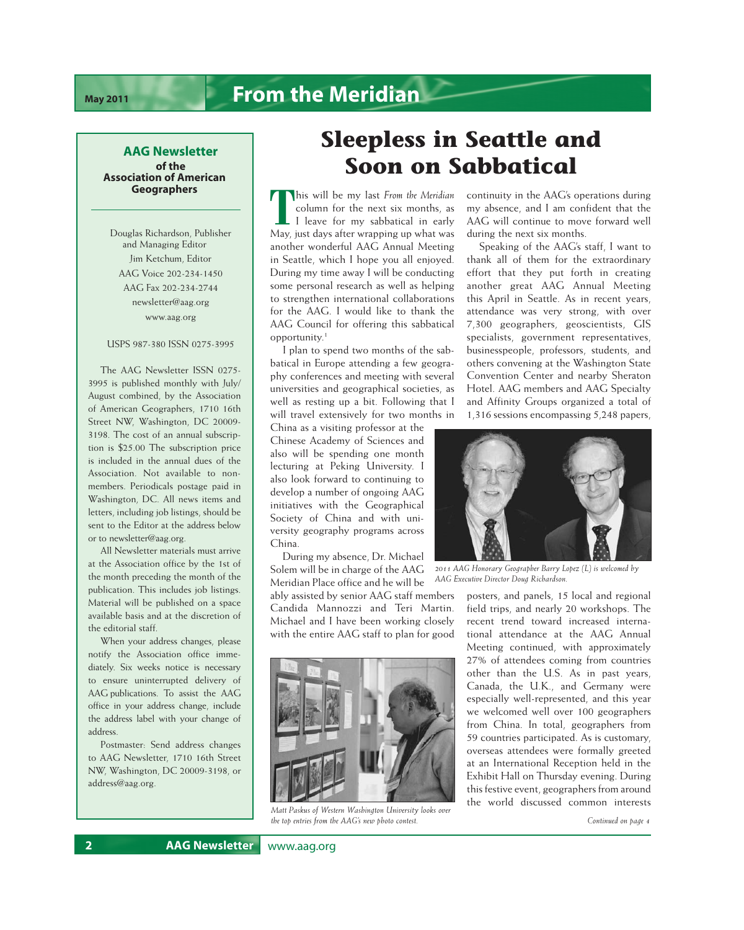## **AAG Newsletter of the Association of American Geographers**

Douglas Richardson, Publisher and Managing Editor Jim Ketchum, Editor AAG Voice 202-234-1450 AAG Fax 202-234-2744 [newsletter@aag.org](mailto:newsletter@aag.org) <www.aag.org>

### USPS 987-380 ISSN 0275-3995

The AAG Newsletter ISSN 0275- 3995 is published monthly with July/ August combined, by the Association of American Geographers, 1710 16th Street NW, Washington, DC 20009- 3198. The cost of an annual subscription is \$25.00 The subscription price is included in the annual dues of the Association. Not available to nonmembers. Periodicals postage paid in Washington, DC. All news items and letters, including job listings, should be sent to the Editor at the address below or to [newsletter@aag.org.](mailto:newsletter@aag.org)

All Newsletter materials must arrive at the Association office by the 1st of the month preceding the month of the publication. This includes job listings. Material will be published on a space available basis and at the discretion of the editorial staff.

When your address changes, please notify the Association office immediately. Six weeks notice is necessary to ensure uninterrupted delivery of AAG publications. To assist the AAG office in your address change, include the address label with your change of address.

Postmaster: Send address changes to AAG Newsletter, 1710 16th Street NW, Washington, DC 20009-3198, or [address@aag.org.](mailto:address@aag.org)

# **Sleepless in Seattle and Soon on Sabbatical**

**This will be my last** *From the Meridian*<br> **T** leave for my sabbatical in early<br>
May, just days after wrapping up what was column for the next six months, as L I leave for my sabbatical in early another wonderful AAG Annual Meeting in Seattle, which I hope you all enjoyed. During my time away I will be conducting some personal research as well as helping to strengthen international collaborations for the AAG. I would like to thank the AAG Council for offering this sabbatical opportunity.1

I plan to spend two months of the sabbatical in Europe attending a few geography conferences and meeting with several universities and geographical societies, as well as resting up a bit. Following that I will travel extensively for two months in

China as a visiting professor at the Chinese Academy of Sciences and also will be spending one month lecturing at Peking University. I also look forward to continuing to develop a number of ongoing AAG initiatives with the Geographical Society of China and with university geography programs across China.

During my absence, Dr. Michael Solem will be in charge of the AAG Meridian Place office and he will be

ably assisted by senior AAG staff members Candida Mannozzi and Teri Martin. Michael and I have been working closely with the entire AAG staff to plan for good



*Matt Paskus of Western Washington University looks over the top entries from the AAG's new photo contest.* 

continuity in the AAG's operations during my absence, and I am confident that the AAG will continue to move forward well during the next six months.

Speaking of the AAG's staff, I want to thank all of them for the extraordinary effort that they put forth in creating another great AAG Annual Meeting this April in Seattle. As in recent years, attendance was very strong, with over 7,300 geographers, geoscientists, GIS specialists, government representatives, businesspeople, professors, students, and others convening at the Washington State Convention Center and nearby Sheraton Hotel. AAG members and AAG Specialty and Affinity Groups organized a total of 1,316 sessions encompassing 5,248 papers,



*2011 AAG Honorary Geographer Barry Lopez (L) is welcomed by AAG Executive Director Doug Richardson.* 

posters, and panels, 15 local and regional field trips, and nearly 20 workshops. The recent trend toward increased international attendance at the AAG Annual Meeting continued, with approximately 27% of attendees coming from countries other than the U.S. As in past years, Canada, the U.K., and Germany were especially well-represented, and this year we welcomed well over 100 geographers from China. In total, geographers from 59 countries participated. As is customary, overseas attendees were formally greeted at an International Reception held in the Exhibit Hall on Thursday evening. During this festive event, geographers from around the world discussed common interests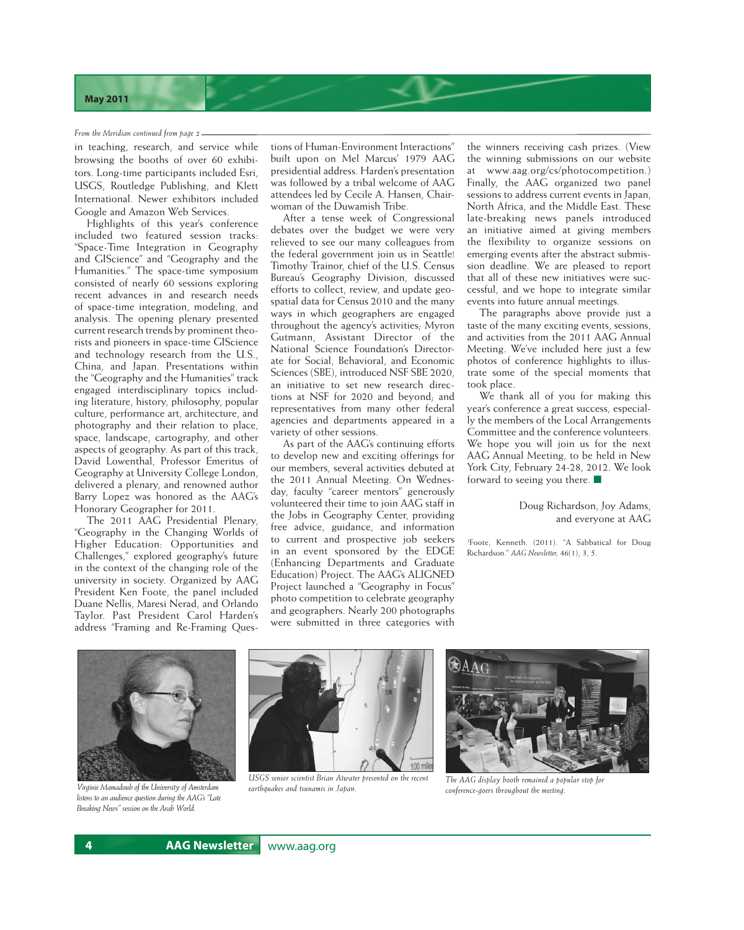#### *From the Meridian continued from page 2*

in teaching, research, and service while browsing the booths of over 60 exhibitors. Long-time participants included Esri, USGS, Routledge Publishing, and Klett International. Newer exhibitors included Google and Amazon Web Services.

Highlights of this year's conference included two featured session tracks: "Space-Time Integration in Geography and GIScience" and "Geography and the Humanities." The space-time symposium consisted of nearly 60 sessions exploring recent advances in and research needs of space-time integration, modeling, and analysis. The opening plenary presented current research trends by prominent theorists and pioneers in space-time GIScience and technology research from the U.S., China, and Japan. Presentations within the "Geography and the Humanities" track engaged interdisciplinary topics including literature, history, philosophy, popular culture, performance art, architecture, and photography and their relation to place, space, landscape, cartography, and other aspects of geography. As part of this track, David Lowenthal, Professor Emeritus of Geography at University College London, delivered a plenary, and renowned author Barry Lopez was honored as the AAG's Honorary Geographer for 2011.

The 2011 AAG Presidential Plenary, "Geography in the Changing Worlds of Higher Education: Opportunities and Challenges," explored geography's future in the context of the changing role of the university in society. Organized by AAG President Ken Foote, the panel included Duane Nellis, Maresi Nerad, and Orlando Taylor. Past President Carol Harden's address "Framing and Re-Framing Ques-

tions of Human-Environment Interactions" built upon on Mel Marcus' 1979 AAG presidential address. Harden's presentation was followed by a tribal welcome of AAG attendees led by Cecile A. Hansen, Chairwoman of the Duwamish Tribe.

After a tense week of Congressional debates over the budget we were very relieved to see our many colleagues from the federal government join us in Seattle! Timothy Trainor, chief of the U.S. Census Bureau's Geography Division, discussed efforts to collect, review, and update geospatial data for Census 2010 and the many ways in which geographers are engaged throughout the agency's activities; Myron Gutmann, Assistant Director of the National Science Foundation's Directorate for Social, Behavioral, and Economic Sciences (SBE), introduced NSF SBE 2020, an initiative to set new research directions at NSF for 2020 and beyond; and representatives from many other federal agencies and departments appeared in a variety of other sessions.

As part of the AAG's continuing efforts to develop new and exciting offerings for our members, several activities debuted at the 2011 Annual Meeting. On Wednesday, faculty "career mentors" generously volunteered their time to join AAG staff in the Jobs in Geography Center, providing free advice, guidance, and information to current and prospective job seekers in an event sponsored by the EDGE (Enhancing Departments and Graduate Education) Project. The AAG's ALIGNED Project launched a "Geography in Focus" photo competition to celebrate geography and geographers. Nearly 200 photographs were submitted in three categories with

the winners receiving cash prizes. (View the winning submissions on our website at <www.aag.org/cs/photocom>petition.) Finally, the AAG organized two panel sessions to address current events in Japan, North Africa, and the Middle East. These late-breaking news panels introduced an initiative aimed at giving members the flexibility to organize sessions on emerging events after the abstract submission deadline. We are pleased to report that all of these new initiatives were successful, and we hope to integrate similar events into future annual meetings.

The paragraphs above provide just a taste of the many exciting events, sessions, and activities from the 2011 AAG Annual Meeting. We've included here just a few photos of conference highlights to illustrate some of the special moments that took place.

We thank all of you for making this year's conference a great success, especially the members of the Local Arrangements Committee and the conference volunteers. We hope you will join us for the next AAG Annual Meeting, to be held in New York City, February 24-28, 2012. We look forward to seeing you there.  $\blacksquare$ 

## Doug Richardson, Joy Adams, and everyone at AAG

1 Foote, Kenneth. (2011). "A Sabbatical for Doug Richardson." *AAG Newsletter,* 46(1), 3, 5.



*Virginie Mamadouh of the University of Amsterdam listens to an audience question during the AAG's "Late Breaking News" session on the Arab World.* 



*USGS senior scientist Brian Atwater presented on the recent earthquakes and tsunamis in Japan.* 



*The AAG display booth remained a popular stop for conference-goers throughout the meeting.*